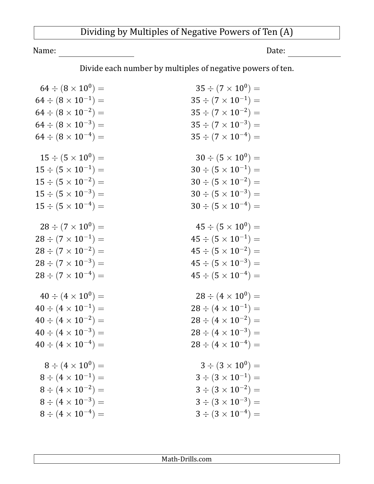## Dividing by Multiples of Negative Powers of Ten (A)

Name: Date:

Divide each number by multiples of negative powers of ten.

| $64 \div (8 \times 10^{0}) =$  | $35 \div (7 \times 10^{0}) =$  |
|--------------------------------|--------------------------------|
| $64 \div (8 \times 10^{-1}) =$ | $35 \div (7 \times 10^{-1}) =$ |
| $64 \div (8 \times 10^{-2}) =$ | $35 \div (7 \times 10^{-2}) =$ |
| $64 \div (8 \times 10^{-3}) =$ | $35 \div (7 \times 10^{-3}) =$ |
| $64 \div (8 \times 10^{-4}) =$ | $35 \div (7 \times 10^{-4}) =$ |
| $15 \div (5 \times 10^{0}) =$  | $30 \div (5 \times 10^{0}) =$  |
| $15 \div (5 \times 10^{-1}) =$ | $30 \div (5 \times 10^{-1}) =$ |
| $15 \div (5 \times 10^{-2}) =$ | $30 \div (5 \times 10^{-2}) =$ |
| $15 \div (5 \times 10^{-3}) =$ | $30 \div (5 \times 10^{-3}) =$ |
| $15 \div (5 \times 10^{-4}) =$ | $30 \div (5 \times 10^{-4}) =$ |
| $28 \div (7 \times 10^{0}) =$  | $45 \div (5 \times 10^{0}) =$  |
| $28 \div (7 \times 10^{-1}) =$ | $45 \div (5 \times 10^{-1}) =$ |
| $28 \div (7 \times 10^{-2}) =$ | $45 \div (5 \times 10^{-2}) =$ |
| $28 \div (7 \times 10^{-3}) =$ | $45 \div (5 \times 10^{-3}) =$ |
| $28 \div (7 \times 10^{-4}) =$ | $45 \div (5 \times 10^{-4}) =$ |
|                                |                                |
| $40 \div (4 \times 10^{0}) =$  | $28 \div (4 \times 10^{0}) =$  |
| $40 \div (4 \times 10^{-1}) =$ | $28 \div (4 \times 10^{-1}) =$ |
| $40 \div (4 \times 10^{-2}) =$ | $28 \div (4 \times 10^{-2}) =$ |
| $40 \div (4 \times 10^{-3}) =$ | $28 \div (4 \times 10^{-3}) =$ |
| $40 \div (4 \times 10^{-4}) =$ | $28 \div (4 \times 10^{-4}) =$ |
| $8 \div (4 \times 10^{0}) =$   | $3 \div (3 \times 10^{0}) =$   |
| $8 \div (4 \times 10^{-1}) =$  | $3 \div (3 \times 10^{-1}) =$  |
| $8 \div (4 \times 10^{-2}) =$  | $3 \div (3 \times 10^{-2}) =$  |
| $8 \div (4 \times 10^{-3}) =$  | $3 \div (3 \times 10^{-3}) =$  |
| $8 \div (4 \times 10^{-4}) =$  | $3 \div (3 \times 10^{-4}) =$  |
|                                |                                |